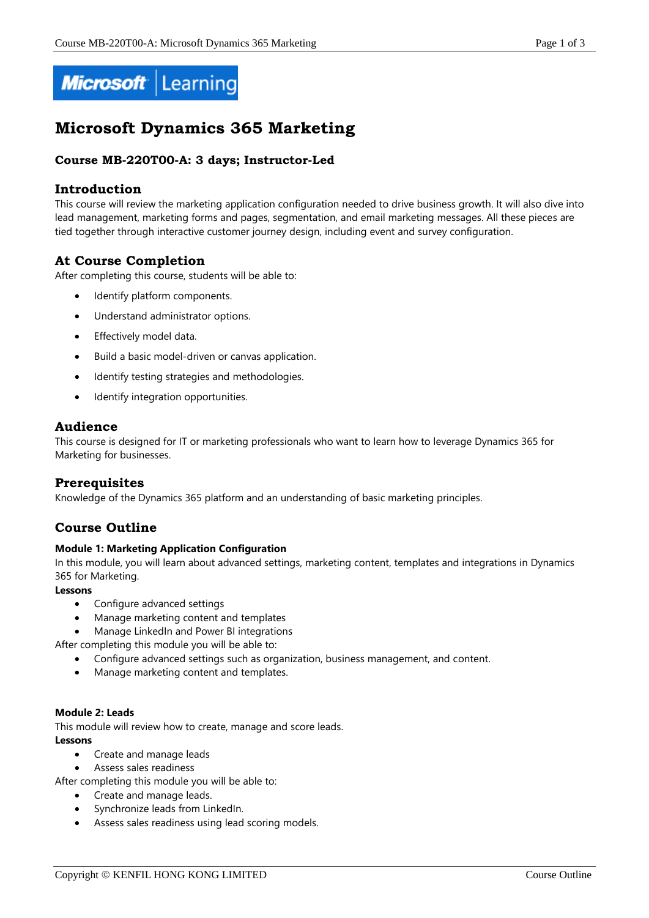

# **Microsoft Dynamics 365 Marketing**

# **Course MB-220T00-A: 3 days; Instructor-Led**

## **Introduction**

This course will review the marketing application configuration needed to drive business growth. It will also dive into lead management, marketing forms and pages, segmentation, and email marketing messages. All these pieces are tied together through interactive customer journey design, including event and survey configuration.

# **At Course Completion**

After completing this course, students will be able to:

- Identify platform components.
- Understand administrator options.
- Effectively model data.
- Build a basic model-driven or canvas application.
- Identify testing strategies and methodologies.
- Identify integration opportunities.

## **Audience**

This course is designed for IT or marketing professionals who want to learn how to leverage Dynamics 365 for Marketing for businesses.

# **Prerequisites**

Knowledge of the Dynamics 365 platform and an understanding of basic marketing principles.

# **Course Outline**

#### **Module 1: Marketing Application Configuration**

In this module, you will learn about advanced settings, marketing content, templates and integrations in Dynamics 365 for Marketing.

#### **Lessons**

- Configure advanced settings
- Manage marketing content and templates
- Manage LinkedIn and Power BI integrations
- After completing this module you will be able to:
	- Configure advanced settings such as organization, business management, and content.
	- Manage marketing content and templates.

#### **Module 2: Leads**

This module will review how to create, manage and score leads.

#### **Lessons**

- Create and manage leads
- Assess sales readiness

After completing this module you will be able to:

- Create and manage leads.
- Synchronize leads from LinkedIn.
- Assess sales readiness using lead scoring models.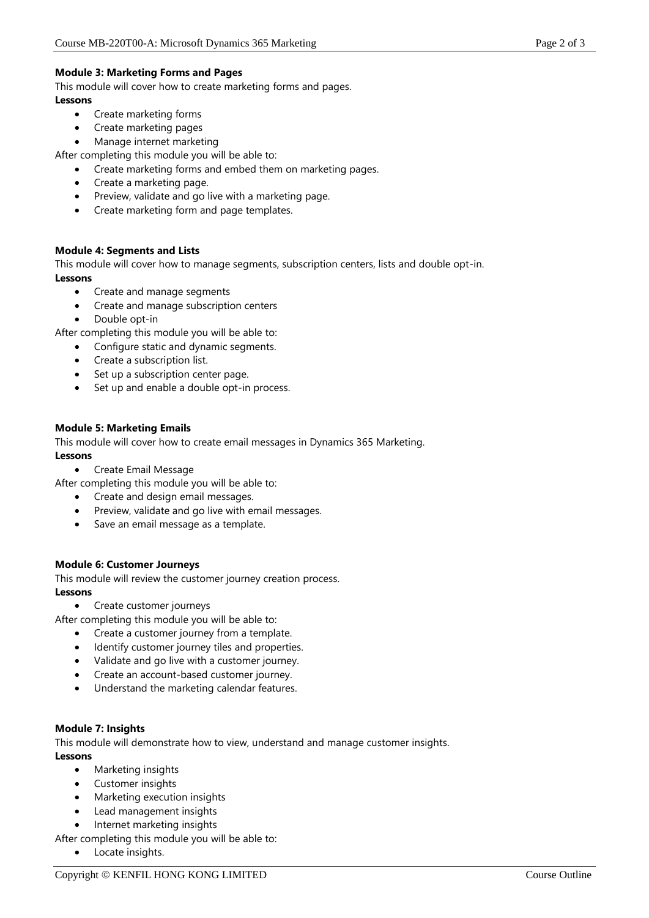This module will cover how to create marketing forms and pages.

## **Lessons**

- Create marketing forms
- Create marketing pages
- Manage internet marketing

After completing this module you will be able to:

- Create marketing forms and embed them on marketing pages.
- Create a marketing page.
- Preview, validate and go live with a marketing page.
- Create marketing form and page templates.

## **Module 4: Segments and Lists**

This module will cover how to manage segments, subscription centers, lists and double opt-in. **Lessons**

- Create and manage segments
- Create and manage subscription centers
- Double opt-in

After completing this module you will be able to:

- Configure static and dynamic segments.
- Create a subscription list.
- Set up a subscription center page.
- Set up and enable a double opt-in process.

## **Module 5: Marketing Emails**

This module will cover how to create email messages in Dynamics 365 Marketing. **Lessons**

Create Email Message

After completing this module you will be able to:

- Create and design email messages.
- Preview, validate and go live with email messages.
- Save an email message as a template.

## **Module 6: Customer Journeys**

This module will review the customer journey creation process. **Lessons**

• Create customer journeys

After completing this module you will be able to:

- Create a customer journey from a template.
- Identify customer journey tiles and properties.
- Validate and go live with a customer journey.
- Create an account-based customer journey.
- Understand the marketing calendar features.

#### **Module 7: Insights**

This module will demonstrate how to view, understand and manage customer insights. **Lessons**

- Marketing insights
- Customer insights
- Marketing execution insights
- Lead management insights
- Internet marketing insights
- After completing this module you will be able to:
	- Locate insights.